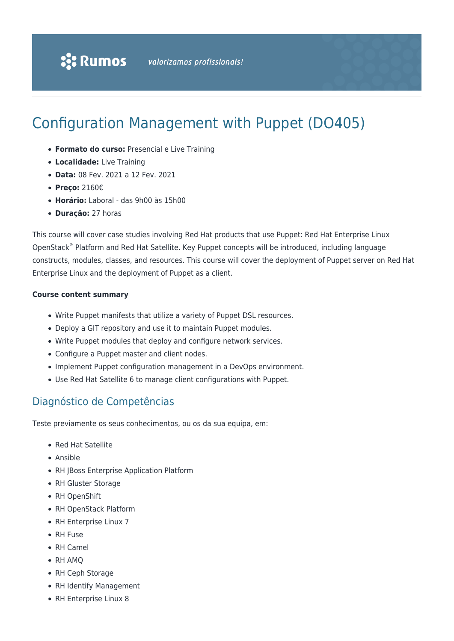# Configuration Management with Puppet (DO405)

- **Formato do curso:** Presencial e Live Training
- **Localidade:** Live Training
- **Data:** 08 Fev. 2021 a 12 Fev. 2021
- **Preço:** 2160€
- **Horário:** Laboral das 9h00 às 15h00
- **Duração:** 27 horas

This course will cover case studies involving Red Hat products that use Puppet: Red Hat Enterprise Linux OpenStack<sup>®</sup> Platform and Red Hat Satellite. Key Puppet concepts will be introduced, including language constructs, modules, classes, and resources. This course will cover the deployment of Puppet server on Red Hat Enterprise Linux and the deployment of Puppet as a client.

#### **Course content summary**

- Write Puppet manifests that utilize a variety of Puppet DSL resources.
- Deploy a GIT repository and use it to maintain Puppet modules.
- Write Puppet modules that deploy and configure network services.
- Configure a Puppet master and client nodes.
- Implement Puppet configuration management in a DevOps environment.
- Use Red Hat Satellite 6 to manage client configurations with Puppet.

#### Diagnóstico de Competências

Teste previamente os seus conhecimentos, ou os da sua equipa, em:

- Red Hat Satellite
- Ansible
- RH JBoss Enterprise Application Platform
- RH Gluster Storage
- RH OpenShift
- RH OpenStack Platform
- RH Enterprise Linux 7
- RH Fuse
- RH Camel
- RH AMO
- RH Ceph Storage
- RH Identify Management
- RH Enterprise Linux 8